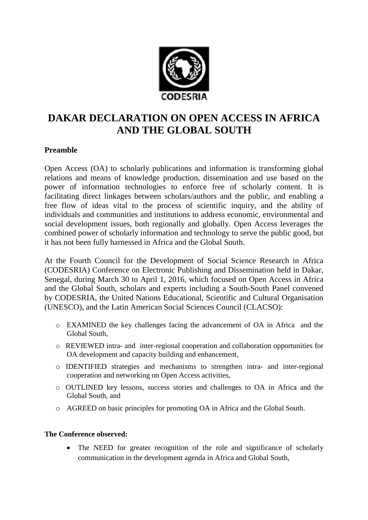

# **DAKAR DECLARATION ON OPEN ACCESS IN AFRICA AND THE GLOBAL SOUTH**

## **Preamble**

Open Access (OA) to scholarly publications and information is transforming global relations and means of knowledge production, dissemination and use based on the power of information technologies to enforce free of scholarly content. It is facilitating direct linkages between scholars/authors and the public, and enabling a free flow of ideas vital to the process of scientific inquiry, and the ability of individuals and communities and institutions to address economic, environmental and social development issues, both regionally and globally. Open Access leverages the combined power of scholarly information and technology to serve the public good, but it has not been fully harnessed in Africa and the Global South.

At the Fourth Council for the Development of Social Science Research in Africa (CODESRIA) Conference on Electronic Publishing and Dissemination held in Dakar, Senegal, during March 30 to April 1, 2016, which focused on Open Access in Africa and the Global South, scholars and experts including a South-South Panel convened by CODESRIA, the United Nations Educational, Scientific and Cultural Organisation (UNESCO), and the Latin American Social Sciences Council (CLACSO):

- o EXAMINED the key challenges facing the advancement of OA in Africa and the Global South,
- o REVIEWED intra- and inter-regional cooperation and collaboration opportunities for OA development and capacity building and enhancement,
- o IDENTIFIED strategies and mechanisms to strengthen intra- and inter-regional cooperation and networking on Open Access activities,
- o OUTLINED key lessons, success stories and challenges to OA in Africa and the Global South, and
- o AGREED on basic principles for promoting OA in Africa and the Global South.

### **The Conference observed:**

• The NEED for greater recognition of the role and significance of scholarly communication in the development agenda in Africa and Global South,